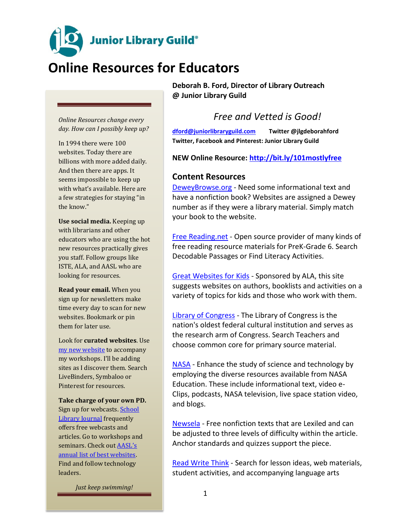**Junior Library Guild®** 

# **Online Resources for Educators**

*Online Resources change every day. How can I possibly keep up?*

In 1994 there were 100 websites. Today there are billions with more added daily. And then there are apps. It seems impossible to keep up with what's available. Here are a few strategies for staying "in the know."

**Use social media.** Keeping up with librarians and other educators who are using the hot new resources practically gives you staff. Follow groups like ISTE, ALA, and AASL who are looking for resources.

**Read your email.** When you sign up for newsletters make time every day to scan for new websites. Bookmark or pin them for later use.

Look for **curated websites**. Use [my new](http://www.livebinders.com/play/play?id=1995732&present=true) website to accompany my workshops. I'll be adding sites as I discover them. Search LiveBinders, Symbaloo or Pinterest for resources.

**Take charge of your own PD.** Sign up for webcasts. [School](http://www.slj.com/category/technology/)  [Library Journal](http://www.slj.com/category/technology/) frequently offers free webcasts and articles. Go to workshops and seminars. Check out [AASL's](http://www.ala.org/aasl/standards/best/websites)  [annual list of best websites.](http://www.ala.org/aasl/standards/best/websites) Find and follow technology leaders.

*Just keep swimming!*

**Deborah B. Ford, Director of Library Outreach @ Junior Library Guild**

### *Free and Vetted is Good!*

**[dford@juniorlibraryguild.com](mailto:dford@juniorlibraryguild.com) Twitter @jlgdeborahford Twitter, Facebook and Pinterest: Junior Library Guild**

**NEW Online Resource:<http://bit.ly/101mostlyfree>**

#### **Content Resources**

[DeweyBrowse.org](http://deweybrowse.org/) - Need some informational text and have a nonfiction book? Websites are assigned a Dewey number as if they were a library material. Simply match your book to the website.

[Free Reading.net](http://freereading.net/index.php?title=Main_Page) - Open source provider of many kinds of free reading resource materials for PreK-Grade 6. Search Decodable Passages or Find Literacy Activities.

[Great Websites for Kids](http://gws.ala.org/) - Sponsored by ALA, this site suggests websites on authors, booklists and activities on a variety of topics for kids and those who work with them.

[Library of Congress](http://www.loc.gov/index.html) - The Library of Congress is the nation's oldest federal cultural institution and serves as the research arm of Congress. Search Teachers and choose common core for primary source material.

[NASA](http://www.nasa.gov/audience/foreducators/index.html) - Enhance the study of science and technology by employing the diverse resources available from NASA Education. These include informational text, video e-Clips, podcasts, NASA television, live space station video, and blogs.

[Newsela](http://www.newsela.com/) - Free nonfiction texts that are Lexiled and can be adjusted to three levels of difficulty within the article. Anchor standards and quizzes support the piece.

[Read Write Think](http://www.readwritethink.org/) - Search for lesson ideas, web materials, student activities, and accompanying language arts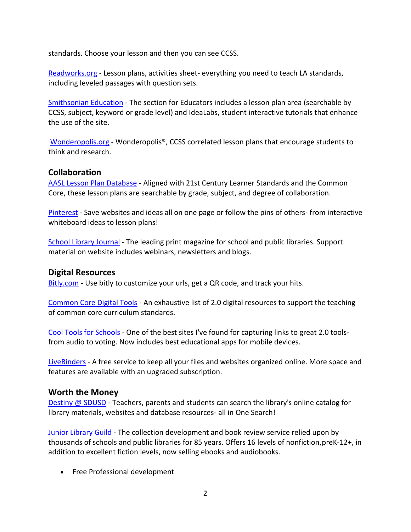standards. Choose your lesson and then you can see CCSS.

[Readworks.org](http://www.readworks.org/) - Lesson plans, activities sheet- everything you need to teach LA standards, including leveled passages with question sets.

[Smithsonian Education](http://smithsonianeducation.org/) - The section for Educators includes a lesson plan area (searchable by CCSS, subject, keyword or grade level) and IdeaLabs, student interactive tutorials that enhance the use of the site.

[Wonderopolis.org](http://wonderopolis.org/) - Wonderopolis®, CCSS correlated lesson plans that encourage students to think and research.

#### **Collaboration**

[AASL Lesson Plan Database](http://aasl.jesandco.org/) - Aligned with 21st Century Learner Standards and the Common Core, these lesson plans are searchable by grade, subject, and degree of collaboration.

[Pinterest](http://pinterest.com/) - Save websites and ideas all on one page or follow the pins of others- from interactive whiteboard ideas to lesson plans!

[School Library Journal](http://www.slj.com/) - The leading print magazine for school and public libraries. Support material on website includes webinars, newsletters and blogs.

#### **Digital Resources**

[Bitly.com](http://bitly.com/) - Use bitly to customize your urls, get a QR code, and track your hits.

[Common Core Digital Tools](http://commoncore.org/maps/resources/digital_resources) - An exhaustive list of 2.0 digital resources to support the teaching of common core curriculum standards.

[Cool Tools for Schools](http://cooltoolsforschools.wikispaces.com/) - One of the best sites I've found for capturing links to great 2.0 toolsfrom audio to voting. Now includes best educational apps for mobile devices.

[LiveBinders](http://www.livebinders.com/welcome/home) - A free service to keep all your files and websites organized online. More space and features are available with an upgraded subscription.

#### **Worth the Money**

[Destiny @ SDUSD](http://destiny.sandi.net/) - Teachers, parents and students can search the library's online catalog for library materials, websites and database resources- all in One Search!

[Junior Library Guild](http://www.juniorlibraryguild.com/) - The collection development and book review service relied upon by thousands of schools and public libraries for 85 years. Offers 16 levels of nonfiction,preK-12+, in addition to excellent fiction levels, now selling ebooks and audiobooks.

• Free Professional development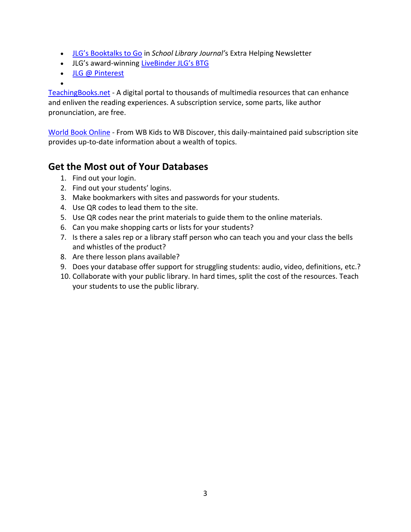- [JLG's Booktalks to Go](http://www.slj.com/category/collection-development/jlg-booktalks/) in *School Library Journal'*s Extra Helping Newsletter
- JLG's award-winning [LiveBinder JLG's BTG](http://www.livebinders.com/shelf/search_author?terms=deborahford)
- [JLG @ Pinterest](https://www.pinterest.com/juniorlibraryg/)
- $\bullet$

[TeachingBooks.net](http://www.teachingbooks.net/) - A digital portal to thousands of multimedia resources that can enhance and enliven the reading experiences. A subscription service, some parts, like author pronunciation, are free.

[World Book Online](http://www.worldbookonline.com/wb/Login?ed=wb) - From WB Kids to WB Discover, this daily-maintained paid subscription site provides up-to-date information about a wealth of topics.

## **Get the Most out of Your Databases**

- 1. Find out your login.
- 2. Find out your students' logins.
- 3. Make bookmarkers with sites and passwords for your students.
- 4. Use QR codes to lead them to the site.
- 5. Use QR codes near the print materials to guide them to the online materials.
- 6. Can you make shopping carts or lists for your students?
- 7. Is there a sales rep or a library staff person who can teach you and your class the bells and whistles of the product?
- 8. Are there lesson plans available?
- 9. Does your database offer support for struggling students: audio, video, definitions, etc.?
- 10. Collaborate with your public library. In hard times, split the cost of the resources. Teach your students to use the public library.